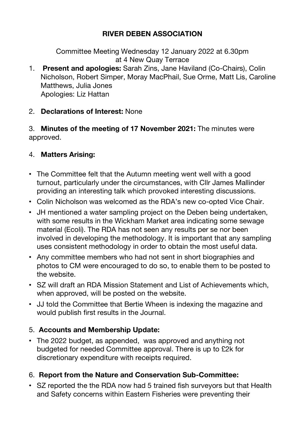# **RIVER DEBEN ASSOCIATION**

Committee Meeting Wednesday 12 January 2022 at 6.30pm at 4 New Quay Terrace

1. **Present and apologies:** Sarah Zins, Jane Haviland (Co-Chairs), Colin Nicholson, Robert Simper, Moray MacPhail, Sue Orme, Matt Lis, Caroline Matthews, Julia Jones Apologies: Liz Hattan

#### 2. **Declarations of Interest:** None

3. **Minutes of the meeting of 17 November 2021:** The minutes were approved.

#### 4. **Matters Arising:**

- The Committee felt that the Autumn meeting went well with a good turnout, particularly under the circumstances, with Cllr James Mallinder providing an interesting talk which provoked interesting discussions.
- ! Colin Nicholson was welcomed as the RDA's new co-opted Vice Chair.
- JH mentioned a water sampling project on the Deben being undertaken, with some results in the Wickham Market area indicating some sewage material (Ecoli). The RDA has not seen any results per se nor been involved in developing the methodology. It is important that any sampling uses consistent methodology in order to obtain the most useful data.
- ! Any committee members who had not sent in short biographies and photos to CM were encouraged to do so, to enable them to be posted to the website.
- SZ will draft an RDA Mission Statement and List of Achievements which, when approved, will be posted on the website.
- JJ told the Committee that Bertie Wheen is indexing the magazine and would publish first results in the Journal.

## 5. **Accounts and Membership Update:**

• The 2022 budget, as appended, was approved and anything not budgeted for needed Committee approval. There is up to £2k for discretionary expenditure with receipts required.

## 6. **Report from the Nature and Conservation Sub-Committee:**

• SZ reported the the RDA now had 5 trained fish surveyors but that Health and Safety concerns within Eastern Fisheries were preventing their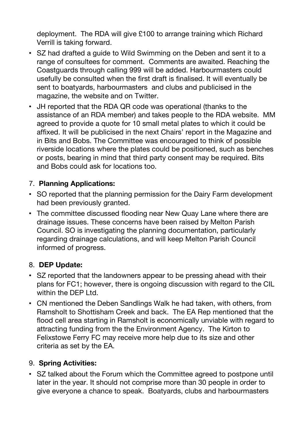deployment. The RDA will give £100 to arrange training which Richard Verrill is taking forward.

- SZ had drafted a guide to Wild Swimming on the Deben and sent it to a range of consultees for comment. Comments are awaited. Reaching the Coastguards through calling 999 will be added. Harbourmasters could usefully be consulted when the first draft is finalised. It will eventually be sent to boatyards, harbourmasters and clubs and publicised in the magazine, the website and on Twitter.
- ! JH reported that the RDA QR code was operational (thanks to the assistance of an RDA member) and takes people to the RDA website. MM agreed to provide a quote for 10 small metal plates to which it could be affixed. It will be publicised in the next Chairs' report in the Magazine and in Bits and Bobs. The Committee was encouraged to think of possible riverside locations where the plates could be positioned, such as benches or posts, bearing in mind that third party consent may be required. Bits and Bobs could ask for locations too.

## 7. **Planning Applications:**

- SO reported that the planning permission for the Dairy Farm development had been previously granted.
- The committee discussed flooding near New Quay Lane where there are drainage issues. These concerns have been raised by Melton Parish Council. SO is investigating the planning documentation, particularly regarding drainage calculations, and will keep Melton Parish Council informed of progress.

## 8. **DEP Update:**

- SZ reported that the landowners appear to be pressing ahead with their plans for FC1; however, there is ongoing discussion with regard to the CIL within the DEP Ltd.
- CN mentioned the Deben Sandlings Walk he had taken, with others, from Ramsholt to Shottisham Creek and back. The EA Rep mentioned that the flood cell area starting in Ramsholt is economically unviable with regard to attracting funding from the the Environment Agency. The Kirton to Felixstowe Ferry FC may receive more help due to its size and other criteria as set by the EA.

## 9. **Spring Activities:**

! SZ talked about the Forum which the Committee agreed to postpone until later in the year. It should not comprise more than 30 people in order to give everyone a chance to speak. Boatyards, clubs and harbourmasters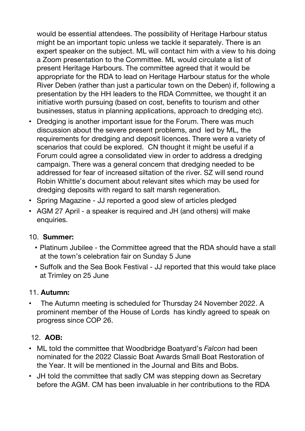would be essential attendees. The possibility of Heritage Harbour status might be an important topic unless we tackle it separately. There is an expert speaker on the subject. ML will contact him with a view to his doing a Zoom presentation to the Committee. ML would circulate a list of present Heritage Harbours. The committee agreed that it would be appropriate for the RDA to lead on Heritage Harbour status for the whole River Deben (rather than just a particular town on the Deben) if, following a presentation by the HH leaders to the RDA Committee, we thought it an initiative worth pursuing (based on cost, benefits to tourism and other businesses, status in planning applications, approach to dredging etc).

- Dredging is another important issue for the Forum. There was much discussion about the severe present problems, and led by ML, the requirements for dredging and deposit licences. There were a variety of scenarios that could be explored. CN thought it might be useful if a Forum could agree a consolidated view in order to address a dredging campaign. There was a general concern that dredging needed to be addressed for fear of increased siltation of the river. SZ will send round Robin Whittle's document about relevant sites which may be used for dredging deposits with regard to salt marsh regeneration.
- ! Spring Magazine JJ reported a good slew of articles pledged
- AGM 27 April a speaker is required and JH (and others) will make enquiries.

## 10. **Summer:**

- ! Platinum Jubilee the Committee agreed that the RDA should have a stall at the town's celebration fair on Sunday 5 June
- ! Suffolk and the Sea Book Festival JJ reported that this would take place at Trimley on 25 June

## 11. **Autumn:**

! The Autumn meeting is scheduled for Thursday 24 November 2022. A prominent member of the House of Lords has kindly agreed to speak on progress since COP 26.

## 12. **AOB:**

- ! ML told the committee that Woodbridge Boatyard's *Falcon* had been nominated for the 2022 Classic Boat Awards Small Boat Restoration of the Year. It will be mentioned in the Journal and Bits and Bobs.
- JH told the committee that sadly CM was stepping down as Secretary before the AGM. CM has been invaluable in her contributions to the RDA